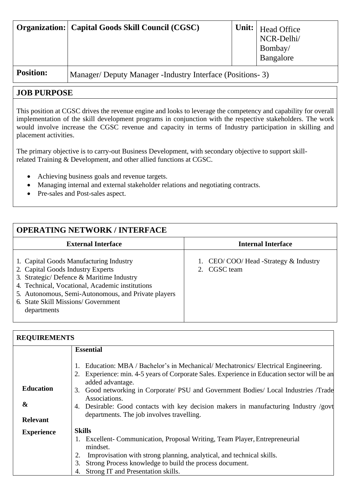|                  | <b>Organization:</b> Capital Goods Skill Council (CGSC)     |  | $\vert$ Unit: $\vert$ Head Office<br>NCR-Delhi/<br>Bombay/<br>Bangalore |
|------------------|-------------------------------------------------------------|--|-------------------------------------------------------------------------|
| <b>Position:</b> | Manager/Deputy Manager - Industry Interface (Positions - 3) |  |                                                                         |

## **JOB PURPOSE**

This position at CGSC drives the revenue engine and looks to leverage the competency and capability for overall implementation of the skill development programs in conjunction with the respective stakeholders. The work would involve increase the CGSC revenue and capacity in terms of Industry participation in skilling and placement activities.

The primary objective is to carry-out Business Development, with secondary objective to support skillrelated Training & Development, and other allied functions at CGSC.

- Achieving business goals and revenue targets.
- Managing internal and external stakeholder relations and negotiating contracts.
- Pre-sales and Post-sales aspect.

## **OPERATING NETWORK / INTERFACE External Interface Internal Interface** 1. Capital Goods Manufacturing Industry 2. Capital Goods Industry Experts 3. Strategic/ Defence & Maritime Industry 4. Technical, Vocational, Academic institutions 5. Autonomous, Semi-Autonomous, and Private players 6. State Skill Missions/ Government departments 1. CEO/ COO/ Head -Strategy & Industry 2. CGSC team

| <b>REQUIREMENTS</b> |                                                                                                                                                                                                      |  |  |  |
|---------------------|------------------------------------------------------------------------------------------------------------------------------------------------------------------------------------------------------|--|--|--|
|                     | <b>Essential</b>                                                                                                                                                                                     |  |  |  |
|                     | Education: MBA / Bachelor's in Mechanical/Mechatronics/Electrical Engineering.<br>Experience: min. 4-5 years of Corporate Sales. Experience in Education sector will be an<br>2.<br>added advantage. |  |  |  |
| <b>Education</b>    | Good networking in Corporate/ PSU and Government Bodies/ Local Industries /Trade<br>3.                                                                                                               |  |  |  |
| &                   | Associations.<br>Desirable: Good contacts with key decision makers in manufacturing Industry /govt<br>4.                                                                                             |  |  |  |
| <b>Relevant</b>     | departments. The job involves travelling.                                                                                                                                                            |  |  |  |
| <b>Experience</b>   | <b>Skills</b>                                                                                                                                                                                        |  |  |  |
|                     | 1. Excellent- Communication, Proposal Writing, Team Player, Entrepreneurial<br>mindset.                                                                                                              |  |  |  |
|                     | Improvisation with strong planning, analytical, and technical skills.                                                                                                                                |  |  |  |
|                     | Strong Process knowledge to build the process document.<br>3.                                                                                                                                        |  |  |  |
|                     | Strong IT and Presentation skills.                                                                                                                                                                   |  |  |  |